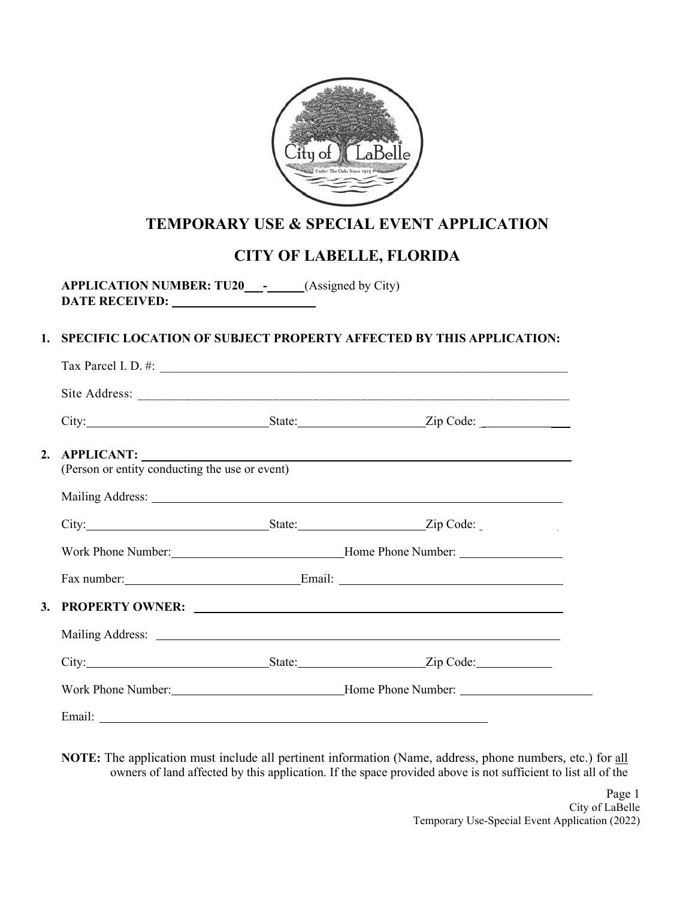

# **TEMPORARY USE & SPECIAL EVENT APPLICATION**

# **CITY OF LABELLE, FLORIDA**

**APPLICATION NUMBER: TU20 -** (Assigned by City) **DATE RECEIVED:** 

# **1. SPECIFIC LOCATION OF SUBJECT PROPERTY AFFECTED BY THIS APPLICATION:**

|                                                                                                                                                                                                                                | Tax Parcel I. D. $\#$ :                                                                                                                                                                                                        |
|--------------------------------------------------------------------------------------------------------------------------------------------------------------------------------------------------------------------------------|--------------------------------------------------------------------------------------------------------------------------------------------------------------------------------------------------------------------------------|
|                                                                                                                                                                                                                                |                                                                                                                                                                                                                                |
|                                                                                                                                                                                                                                |                                                                                                                                                                                                                                |
| 2. APPLICANT:<br>(Person or entity conducting the use or event)                                                                                                                                                                |                                                                                                                                                                                                                                |
|                                                                                                                                                                                                                                | Mailing Address: National Address: National Address: National Address: National Address: National Address: National Address: National Address: National Address: National Address: National Address: National Address: Nationa |
| City: <u>City: Zip Code:</u>                                                                                                                                                                                                   |                                                                                                                                                                                                                                |
|                                                                                                                                                                                                                                | Work Phone Number: Mone Phone Number: Mone Phone Number:                                                                                                                                                                       |
|                                                                                                                                                                                                                                |                                                                                                                                                                                                                                |
|                                                                                                                                                                                                                                |                                                                                                                                                                                                                                |
|                                                                                                                                                                                                                                |                                                                                                                                                                                                                                |
|                                                                                                                                                                                                                                | City: City: City: City: City: City: City: Code:                                                                                                                                                                                |
|                                                                                                                                                                                                                                | Work Phone Number: Mone Phone Number: Mone Phone Number: Mone Phone Number: 2008                                                                                                                                               |
| Email: The contract of the contract of the contract of the contract of the contract of the contract of the contract of the contract of the contract of the contract of the contract of the contract of the contract of the con |                                                                                                                                                                                                                                |

**NOTE:** The application must include all pertinent information (Name, address, phone numbers, etc.) for all owners of land affected by this application. If the space provided above is not sufficient to list all of the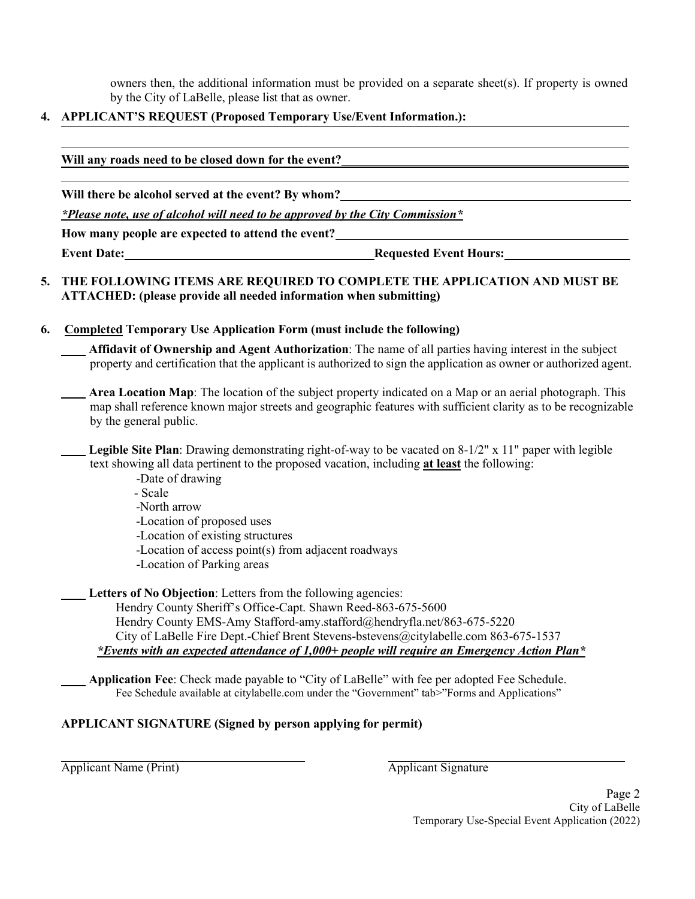owners then, the additional information must be provided on a separate sheet(s). If property is owned by the City of LaBelle, please list that as owner.

## **4. APPLICANT'S REQUEST (Proposed Temporary Use/Event Information.):**

| Will any roads need to be closed down for the event?                          |                               |  |
|-------------------------------------------------------------------------------|-------------------------------|--|
| Will there be alcohol served at the event? By whom?                           |                               |  |
| *Please note, use of alcohol will need to be approved by the City Commission* |                               |  |
| How many people are expected to attend the event?                             |                               |  |
| <b>Event Date:</b>                                                            | <b>Requested Event Hours:</b> |  |

### **5. THE FOLLOWING ITEMS ARE REQUIRED TO COMPLETE THE APPLICATION AND MUST BE ATTACHED: (please provide all needed information when submitting)**

#### **6. Completed Temporary Use Application Form (must include the following)**

**Affidavit of Ownership and Agent Authorization**: The name of all parties having interest in the subject property and certification that the applicant is authorized to sign the application as owner or authorized agent.

- **Area Location Map**: The location of the subject property indicated on a Map or an aerial photograph. This map shall reference known major streets and geographic features with sufficient clarity as to be recognizable by the general public.
- **Legible Site Plan**: Drawing demonstrating right-of-way to be vacated on 8-1/2" x 11" paper with legible text showing all data pertinent to the proposed vacation, including **at least** the following:
	- -Date of drawing
	- Scale
	- -North arrow
	- -Location of proposed uses
	- -Location of existing structures
	- -Location of access point(s) from adjacent roadways
	- -Location of Parking areas

**Letters of No Objection**: Letters from the following agencies: Hendry County Sheriff's Office-Capt. Shawn Reed-863-675-5600 Hendry County EMS-Amy Stafford-amy.stafford@hendryfla.net/863-675-5220

City of LaBelle Fire Dept.-Chief Brent Stevens-bstevens@citylabelle.com 863-675-1537 *\*Events with an expected attendance of 1,000+ people will require an Emergency Action Plan\**

**Application Fee**: Check made payable to "City of LaBelle" with fee per adopted Fee Schedule. Fee Schedule available at citylabelle.com under the "Government" tab>"Forms and Applications"

#### **APPLICANT SIGNATURE (Signed by person applying for permit)**

Applicant Name (Print) Applicant Signature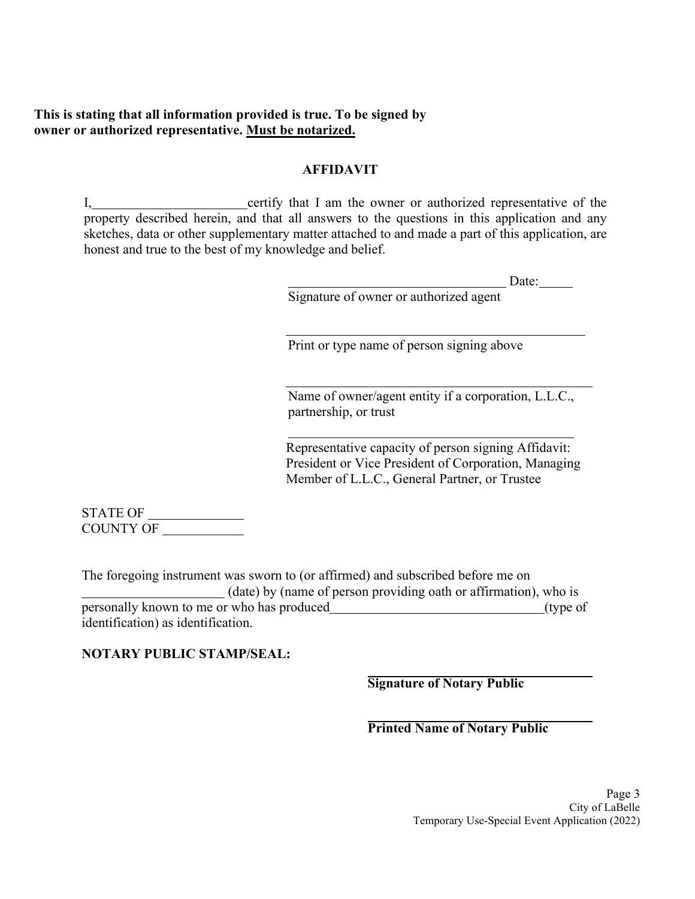# **This is stating that all information provided is true. To be signed by owner or authorized representative. Must be notarized.**

## **AFFIDAVIT**

I, certify that I am the owner or authorized representative of the property described herein, and that all answers to the questions in this application and any sketches, data or other supplementary matter attached to and made a part of this application, are honest and true to the best of my knowledge and belief.

| Date: |  |
|-------|--|
|       |  |

|  |  |  |  | Signature of owner or authorized agent |  |  |
|--|--|--|--|----------------------------------------|--|--|
|--|--|--|--|----------------------------------------|--|--|

Print or type name of person signing above

Name of owner/agent entity if a corporation, L.L.C., partnership, or trust

Representative capacity of person signing Affidavit: President or Vice President of Corporation, Managing Member of L.L.C., General Partner, or Trustee

STATE OF COUNTY OF

The foregoing instrument was sworn to (or affirmed) and subscribed before me on (date) by (name of person providing oath or affirmation), who is personally known to me or who has produced (type of  $($ type of  $)$ identification) as identification.

**NOTARY PUBLIC STAMP/SEAL:**

**Signature of Notary Public**

## **Printed Name of Notary Public**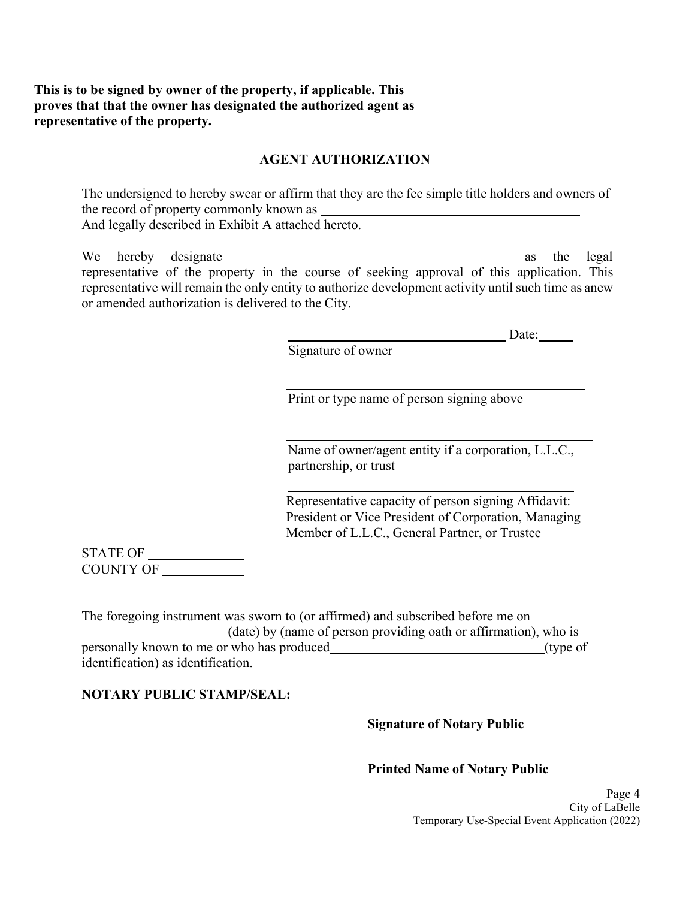# **This is to be signed by owner of the property, if applicable. This proves that that the owner has designated the authorized agent as representative of the property.**

## **AGENT AUTHORIZATION**

The undersigned to hereby swear or affirm that they are the fee simple title holders and owners of the record of property commonly known as And legally described in Exhibit A attached hereto.

We hereby designate as the legal representative of the property in the course of seeking approval of this application. This representative will remain the only entity to authorize development activity until such time as anew or amended authorization is delivered to the City.

Date:

Signature of owner

Print or type name of person signing above

Name of owner/agent entity if a corporation, L.L.C., partnership, or trust

Representative capacity of person signing Affidavit: President or Vice President of Corporation, Managing Member of L.L.C., General Partner, or Trustee

STATE OF COUNTY OF

The foregoing instrument was sworn to (or affirmed) and subscribed before me on (date) by (name of person providing oath or affirmation), who is personally known to me or who has produced (type of  $($ type of  $)$ identification) as identification.

## **NOTARY PUBLIC STAMP/SEAL:**

**Signature of Notary Public**

**Printed Name of Notary Public**